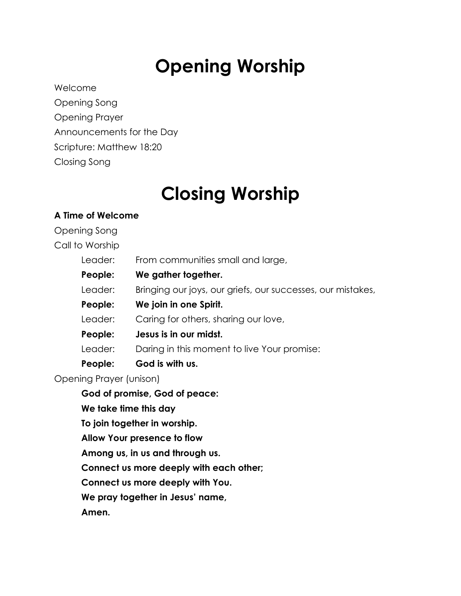# **Opening Worship**

Welcome

Opening Song Opening Prayer Announcements for the Day Scripture: Matthew 18:20 Closing Song

# **Closing Worship**

## **A Time of Welcome**

Opening Song Call to Worship

Leader: From communities small and large,

| People: | We gather together.                                         |
|---------|-------------------------------------------------------------|
| Leader: | Bringing our joys, our griefs, our successes, our mistakes, |
| People: | We join in one Spirit.                                      |
| Leader: | Caring for others, sharing our love,                        |
| People: | Jesus is in our midst.                                      |
| Leader: | Daring in this moment to live Your promise:                 |
| People: | God is with us.                                             |

Opening Prayer (unison)

**God of promise, God of peace: We take time this day To join together in worship. Allow Your presence to flow Among us, in us and through us. Connect us more deeply with each other; Connect us more deeply with You. We pray together in Jesus' name, Amen.**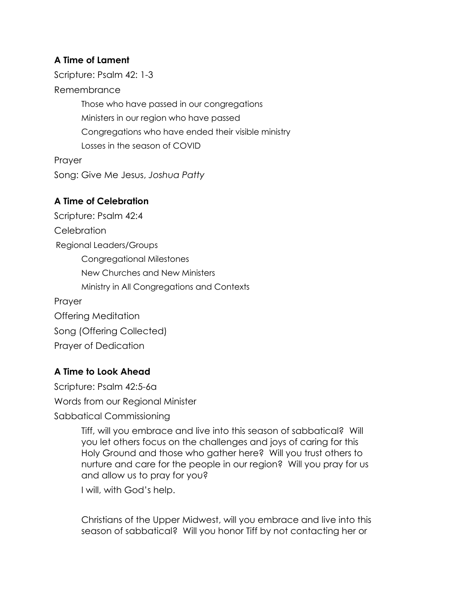#### **A Time of Lament**

Scripture: Psalm 42: 1-3

Remembrance

Those who have passed in our congregations Ministers in our region who have passed Congregations who have ended their visible ministry Losses in the season of COVID Prayer Song: Give Me Jesus, *Joshua Patty*

#### **A Time of Celebration**

Scripture: Psalm 42:4 **Celebration** Regional Leaders/Groups Congregational Milestones New Churches and New Ministers Ministry in All Congregations and Contexts Prayer Offering Meditation Song (Offering Collected)

Prayer of Dedication

### **A Time to Look Ahead**

Scripture: Psalm 42:5-6a Words from our Regional Minister Sabbatical Commissioning

> Tiff, will you embrace and live into this season of sabbatical? Will you let others focus on the challenges and joys of caring for this Holy Ground and those who gather here? Will you trust others to nurture and care for the people in our region? Will you pray for us and allow us to pray for you?

I will, with God's help.

Christians of the Upper Midwest, will you embrace and live into this season of sabbatical? Will you honor Tiff by not contacting her or